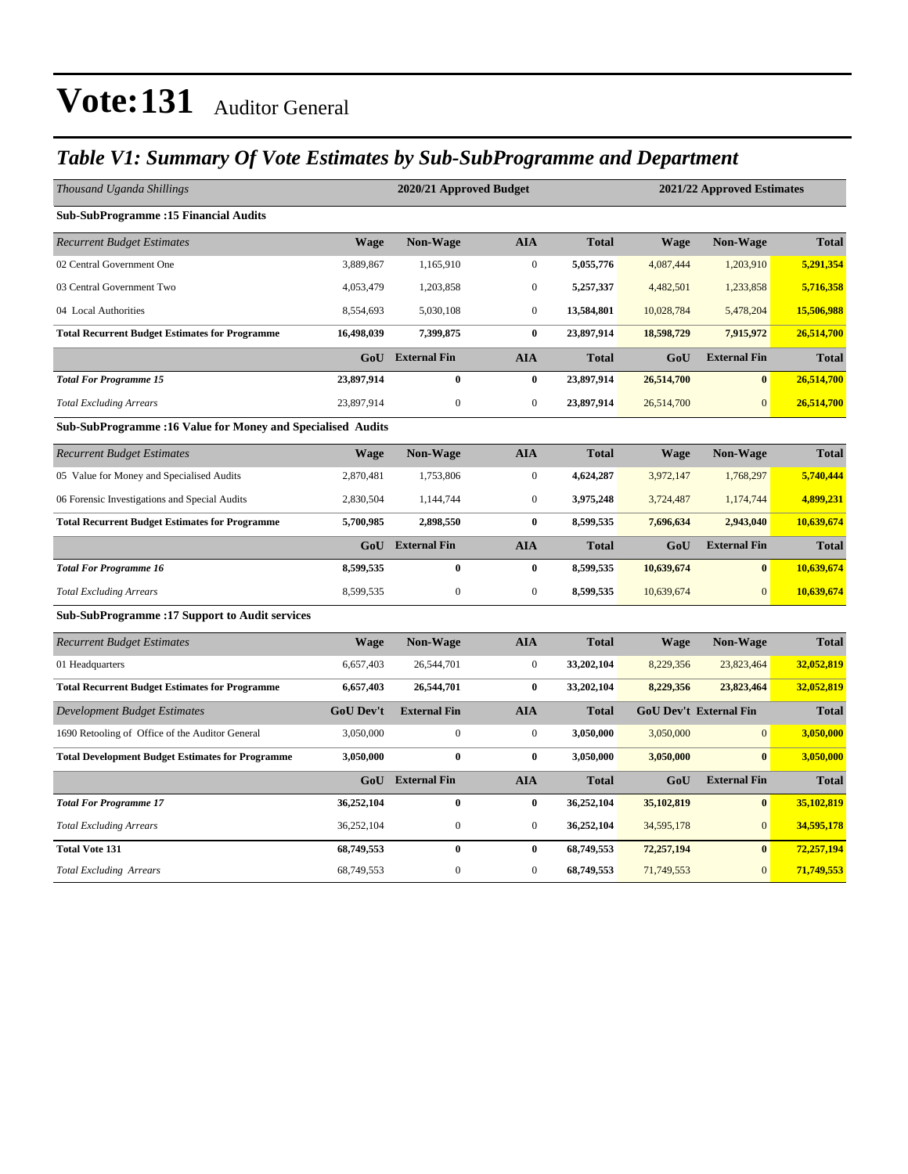### *Table V1: Summary Of Vote Estimates by Sub-SubProgramme and Department*

| Thousand Uganda Shillings                                  |                  | 2020/21 Approved Budget |                  |              |             | 2021/22 Approved Estimates    |              |
|------------------------------------------------------------|------------------|-------------------------|------------------|--------------|-------------|-------------------------------|--------------|
| <b>Sub-SubProgramme:15 Financial Audits</b>                |                  |                         |                  |              |             |                               |              |
| <b>Recurrent Budget Estimates</b>                          | <b>Wage</b>      | <b>Non-Wage</b>         | <b>AIA</b>       | <b>Total</b> | <b>Wage</b> | <b>Non-Wage</b>               | <b>Total</b> |
| 02 Central Government One                                  | 3,889,867        | 1,165,910               | $\overline{0}$   | 5,055,776    | 4,087,444   | 1,203,910                     | 5,291,354    |
| 03 Central Government Two                                  | 4,053,479        | 1,203,858               | $\boldsymbol{0}$ | 5,257,337    | 4,482,501   | 1,233,858                     | 5,716,358    |
| 04 Local Authorities                                       | 8,554,693        | 5,030,108               | $\boldsymbol{0}$ | 13,584,801   | 10,028,784  | 5,478,204                     | 15,506,988   |
| <b>Total Recurrent Budget Estimates for Programme</b>      | 16,498,039       | 7,399,875               | $\bf{0}$         | 23,897,914   | 18,598,729  | 7,915,972                     | 26,514,700   |
|                                                            |                  | <b>GoU</b> External Fin | <b>AIA</b>       | <b>Total</b> | GoU         | <b>External Fin</b>           | <b>Total</b> |
| <b>Total For Programme 15</b>                              | 23,897,914       | $\bf{0}$                | $\bf{0}$         | 23,897,914   | 26,514,700  | $\bf{0}$                      | 26,514,700   |
| <b>Total Excluding Arrears</b>                             | 23,897,914       | $\boldsymbol{0}$        | $\boldsymbol{0}$ | 23,897,914   | 26,514,700  | $\mathbf{0}$                  | 26,514,700   |
| Sub-SubProgramme:16 Value for Money and Specialised Audits |                  |                         |                  |              |             |                               |              |
| <b>Recurrent Budget Estimates</b>                          | <b>Wage</b>      | <b>Non-Wage</b>         | <b>AIA</b>       | <b>Total</b> | <b>Wage</b> | <b>Non-Wage</b>               | <b>Total</b> |
| 05 Value for Money and Specialised Audits                  | 2,870,481        | 1,753,806               | $\boldsymbol{0}$ | 4,624,287    | 3,972,147   | 1,768,297                     | 5,740,444    |
| 06 Forensic Investigations and Special Audits              | 2,830,504        | 1,144,744               | $\boldsymbol{0}$ | 3,975,248    | 3,724,487   | 1,174,744                     | 4,899,231    |
| <b>Total Recurrent Budget Estimates for Programme</b>      | 5,700,985        | 2,898,550               | $\bf{0}$         | 8,599,535    | 7,696,634   | 2,943,040                     | 10,639,674   |
|                                                            |                  | <b>GoU</b> External Fin | <b>AIA</b>       | <b>Total</b> | GoU         | <b>External Fin</b>           | <b>Total</b> |
| <b>Total For Programme 16</b>                              | 8,599,535        | $\bf{0}$                | $\bf{0}$         | 8,599,535    | 10,639,674  | $\bf{0}$                      | 10,639,674   |
| <b>Total Excluding Arrears</b>                             | 8,599,535        | $\boldsymbol{0}$        | $\boldsymbol{0}$ | 8,599,535    | 10,639,674  | $\mathbf{0}$                  | 10,639,674   |
| <b>Sub-SubProgramme:17 Support to Audit services</b>       |                  |                         |                  |              |             |                               |              |
| <b>Recurrent Budget Estimates</b>                          | <b>Wage</b>      | Non-Wage                | <b>AIA</b>       | <b>Total</b> | <b>Wage</b> | <b>Non-Wage</b>               | <b>Total</b> |
| 01 Headquarters                                            | 6,657,403        | 26,544,701              | $\boldsymbol{0}$ | 33,202,104   | 8,229,356   | 23,823,464                    | 32,052,819   |
| <b>Total Recurrent Budget Estimates for Programme</b>      | 6,657,403        | 26,544,701              | $\bf{0}$         | 33,202,104   | 8,229,356   | 23,823,464                    | 32,052,819   |
| <b>Development Budget Estimates</b>                        | <b>GoU Dev't</b> | <b>External Fin</b>     | <b>AIA</b>       | <b>Total</b> |             | <b>GoU Dev't External Fin</b> | <b>Total</b> |
| 1690 Retooling of Office of the Auditor General            | 3,050,000        | $\overline{0}$          | $\boldsymbol{0}$ | 3,050,000    | 3,050,000   | $\mathbf{0}$                  | 3,050,000    |
| <b>Total Development Budget Estimates for Programme</b>    | 3,050,000        | $\bf{0}$                | $\bf{0}$         | 3,050,000    | 3,050,000   | $\bf{0}$                      | 3,050,000    |
|                                                            | GoU              | <b>External Fin</b>     | <b>AIA</b>       | <b>Total</b> | GoU         | <b>External Fin</b>           | <b>Total</b> |
| <b>Total For Programme 17</b>                              | 36,252,104       | $\bf{0}$                | $\bf{0}$         | 36,252,104   | 35,102,819  | $\bf{0}$                      | 35,102,819   |
| <b>Total Excluding Arrears</b>                             | 36,252,104       | $\boldsymbol{0}$        | $\boldsymbol{0}$ | 36,252,104   | 34,595,178  | $\mathbf{0}$                  | 34,595,178   |
| <b>Total Vote 131</b>                                      | 68,749,553       | $\bf{0}$                | $\bf{0}$         | 68,749,553   | 72,257,194  | $\bf{0}$                      | 72,257,194   |
| <b>Total Excluding Arrears</b>                             | 68,749,553       | $\boldsymbol{0}$        | $\boldsymbol{0}$ | 68,749,553   | 71,749,553  | $\mathbf{0}$                  | 71,749,553   |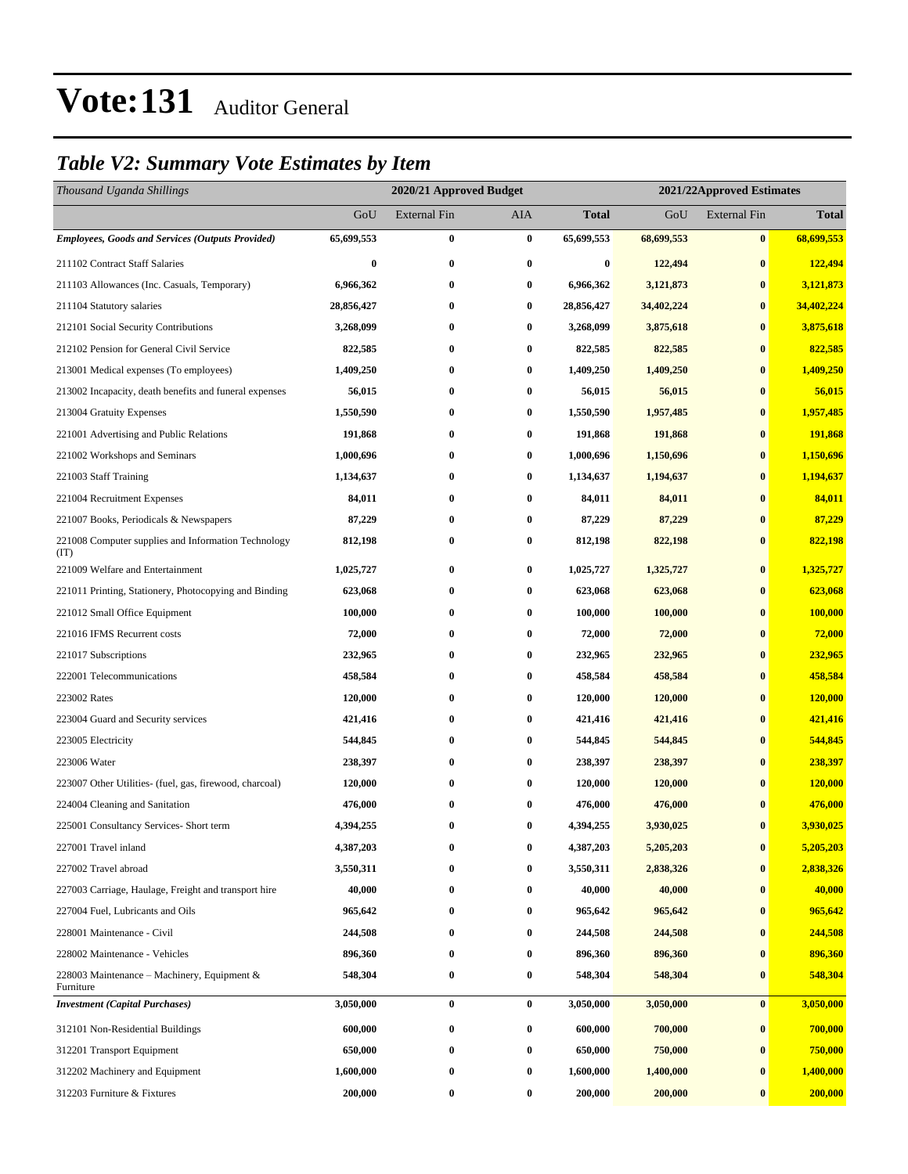### *Table V2: Summary Vote Estimates by Item*

| Thousand Uganda Shillings                                   |            | 2020/21 Approved Budget | 2021/22Approved Estimates |              |            |                     |              |
|-------------------------------------------------------------|------------|-------------------------|---------------------------|--------------|------------|---------------------|--------------|
|                                                             | GoU        | <b>External Fin</b>     | <b>AIA</b>                | <b>Total</b> | GoU        | <b>External Fin</b> | <b>Total</b> |
| <b>Employees, Goods and Services (Outputs Provided)</b>     | 65,699,553 | $\bf{0}$                | $\bf{0}$                  | 65,699,553   | 68,699,553 | $\bf{0}$            | 68,699,553   |
| 211102 Contract Staff Salaries                              | 0          | $\bf{0}$                | $\bf{0}$                  | $\bf{0}$     | 122,494    | $\bf{0}$            | 122,494      |
| 211103 Allowances (Inc. Casuals, Temporary)                 | 6,966,362  | $\bf{0}$                | $\bf{0}$                  | 6,966,362    | 3,121,873  | $\bf{0}$            | 3,121,873    |
| 211104 Statutory salaries                                   | 28,856,427 | 0                       | $\bf{0}$                  | 28,856,427   | 34,402,224 | $\bf{0}$            | 34,402,224   |
| 212101 Social Security Contributions                        | 3,268,099  | $\bf{0}$                | $\bf{0}$                  | 3,268,099    | 3,875,618  | $\bf{0}$            | 3,875,618    |
| 212102 Pension for General Civil Service                    | 822,585    | $\bf{0}$                | $\bf{0}$                  | 822,585      | 822,585    | $\bf{0}$            | 822,585      |
| 213001 Medical expenses (To employees)                      | 1,409,250  | $\bf{0}$                | $\bf{0}$                  | 1,409,250    | 1,409,250  | $\bf{0}$            | 1,409,250    |
| 213002 Incapacity, death benefits and funeral expenses      | 56,015     | $\bf{0}$                | $\bf{0}$                  | 56,015       | 56,015     | $\bf{0}$            | 56,015       |
| 213004 Gratuity Expenses                                    | 1,550,590  | 0                       | $\bf{0}$                  | 1,550,590    | 1,957,485  | $\bf{0}$            | 1,957,485    |
| 221001 Advertising and Public Relations                     | 191,868    | $\bf{0}$                | $\bf{0}$                  | 191,868      | 191,868    | $\bf{0}$            | 191,868      |
| 221002 Workshops and Seminars                               | 1,000,696  | $\bf{0}$                | $\bf{0}$                  | 1,000,696    | 1,150,696  | $\bf{0}$            | 1,150,696    |
| 221003 Staff Training                                       | 1,134,637  | $\bf{0}$                | $\bf{0}$                  | 1,134,637    | 1,194,637  | $\bf{0}$            | 1,194,637    |
| 221004 Recruitment Expenses                                 | 84,011     | $\boldsymbol{0}$        | $\bf{0}$                  | 84,011       | 84,011     | $\bf{0}$            | 84,011       |
| 221007 Books, Periodicals & Newspapers                      | 87,229     | 0                       | $\bf{0}$                  | 87,229       | 87,229     | $\bf{0}$            | 87,229       |
| 221008 Computer supplies and Information Technology<br>(TT) | 812,198    | $\bf{0}$                | $\bf{0}$                  | 812,198      | 822,198    | $\bf{0}$            | 822,198      |
| 221009 Welfare and Entertainment                            | 1,025,727  | $\bf{0}$                | $\bf{0}$                  | 1,025,727    | 1,325,727  | $\bf{0}$            | 1,325,727    |
| 221011 Printing, Stationery, Photocopying and Binding       | 623,068    | $\bf{0}$                | $\bf{0}$                  | 623,068      | 623,068    | $\bf{0}$            | 623,068      |
| 221012 Small Office Equipment                               | 100,000    | $\bf{0}$                | $\bf{0}$                  | 100,000      | 100,000    | $\bf{0}$            | 100,000      |
| 221016 IFMS Recurrent costs                                 | 72,000     | $\bf{0}$                | $\bf{0}$                  | 72,000       | 72,000     | $\bf{0}$            | 72,000       |
| 221017 Subscriptions                                        | 232,965    | 0                       | $\bf{0}$                  | 232,965      | 232,965    | $\bf{0}$            | 232,965      |
| 222001 Telecommunications                                   | 458,584    | 0                       | $\bf{0}$                  | 458,584      | 458,584    | $\bf{0}$            | 458,584      |
| 223002 Rates                                                | 120,000    | $\bf{0}$                | $\bf{0}$                  | 120,000      | 120,000    | $\bf{0}$            | 120,000      |
| 223004 Guard and Security services                          | 421,416    | $\bf{0}$                | $\bf{0}$                  | 421,416      | 421,416    | $\bf{0}$            | 421,416      |
| 223005 Electricity                                          | 544,845    | $\bf{0}$                | $\bf{0}$                  | 544,845      | 544,845    | $\bf{0}$            | 544,845      |
| 223006 Water                                                | 238,397    | 0                       | $\bf{0}$                  | 238,397      | 238,397    | $\bf{0}$            | 238,397      |
| 223007 Other Utilities- (fuel, gas, firewood, charcoal)     | 120,000    | 0                       | $\bf{0}$                  | 120,000      | 120,000    | $\bf{0}$            | 120,000      |
| 224004 Cleaning and Sanitation                              | 476,000    | 0                       | $\bf{0}$                  | 476,000      | 476,000    | $\bf{0}$            | 476,000      |
| 225001 Consultancy Services- Short term                     | 4,394,255  | $\bf{0}$                | $\bf{0}$                  | 4,394,255    | 3,930,025  | $\bf{0}$            | 3,930,025    |
| 227001 Travel inland                                        | 4,387,203  | 0                       | $\pmb{0}$                 | 4,387,203    | 5,205,203  | $\pmb{0}$           | 5,205,203    |
| 227002 Travel abroad                                        | 3,550,311  | 0                       | $\bf{0}$                  | 3,550,311    | 2,838,326  | $\bf{0}$            | 2,838,326    |
| 227003 Carriage, Haulage, Freight and transport hire        | 40,000     | $\boldsymbol{0}$        | $\bf{0}$                  | 40,000       | 40,000     | $\bf{0}$            | 40,000       |
| 227004 Fuel, Lubricants and Oils                            | 965,642    | $\boldsymbol{0}$        | $\bf{0}$                  | 965,642      | 965,642    | $\bf{0}$            | 965,642      |
| 228001 Maintenance - Civil                                  | 244,508    | $\boldsymbol{0}$        | $\bf{0}$                  | 244,508      | 244,508    | $\boldsymbol{0}$    | 244,508      |
| 228002 Maintenance - Vehicles                               | 896,360    | $\bf{0}$                | $\bf{0}$                  | 896,360      | 896,360    | $\bf{0}$            | 896,360      |
| 228003 Maintenance – Machinery, Equipment $\&$<br>Furniture | 548,304    | $\bf{0}$                | $\bf{0}$                  | 548,304      | 548,304    | $\bf{0}$            | 548,304      |
| <b>Investment</b> (Capital Purchases)                       | 3,050,000  | $\bf{0}$                | $\bf{0}$                  | 3,050,000    | 3,050,000  | $\bf{0}$            | 3,050,000    |
| 312101 Non-Residential Buildings                            | 600,000    | $\boldsymbol{0}$        | $\bf{0}$                  | 600,000      | 700,000    | $\bf{0}$            | 700,000      |
| 312201 Transport Equipment                                  | 650,000    | 0                       | $\bf{0}$                  | 650,000      | 750,000    | $\bf{0}$            | 750,000      |
| 312202 Machinery and Equipment                              | 1,600,000  | $\bf{0}$                | $\bf{0}$                  | 1,600,000    | 1,400,000  | $\bf{0}$            | 1,400,000    |
| 312203 Furniture & Fixtures                                 | 200,000    | $\boldsymbol{0}$        | $\bf{0}$                  | 200,000      | 200,000    | $\bf{0}$            | 200,000      |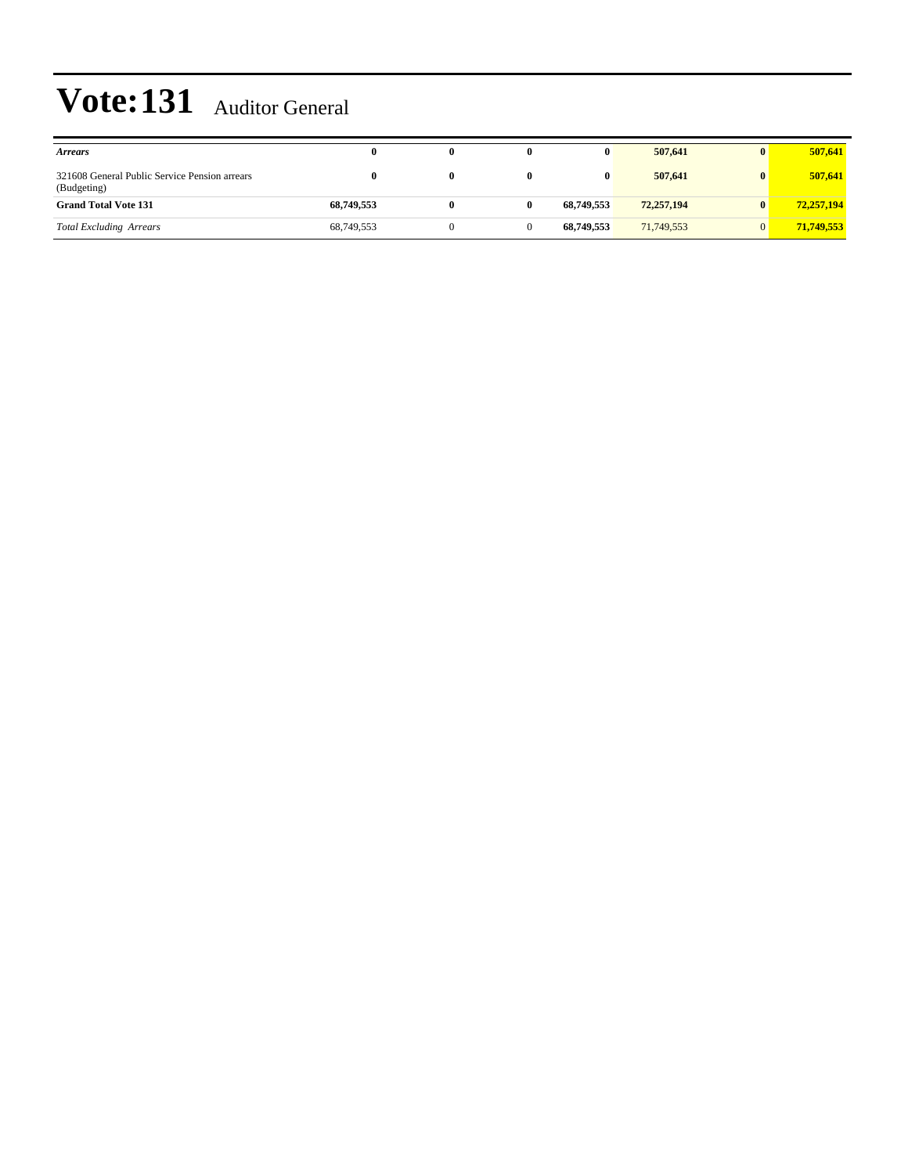| <b>Arrears</b>                                               |            | 0 | 0 | 0          | 507.641    | 0        | 507,641    |
|--------------------------------------------------------------|------------|---|---|------------|------------|----------|------------|
| 321608 General Public Service Pension arrears<br>(Budgeting) |            | o |   | 0          | 507.641    | $\bf{0}$ | 507,641    |
| <b>Grand Total Vote 131</b>                                  | 68,749,553 |   | 0 | 68,749,553 | 72,257,194 | $\bf{0}$ | 72,257,194 |
| <b>Total Excluding Arrears</b>                               | 68,749,553 |   |   | 68,749,553 | 71,749,553 |          | 71,749,553 |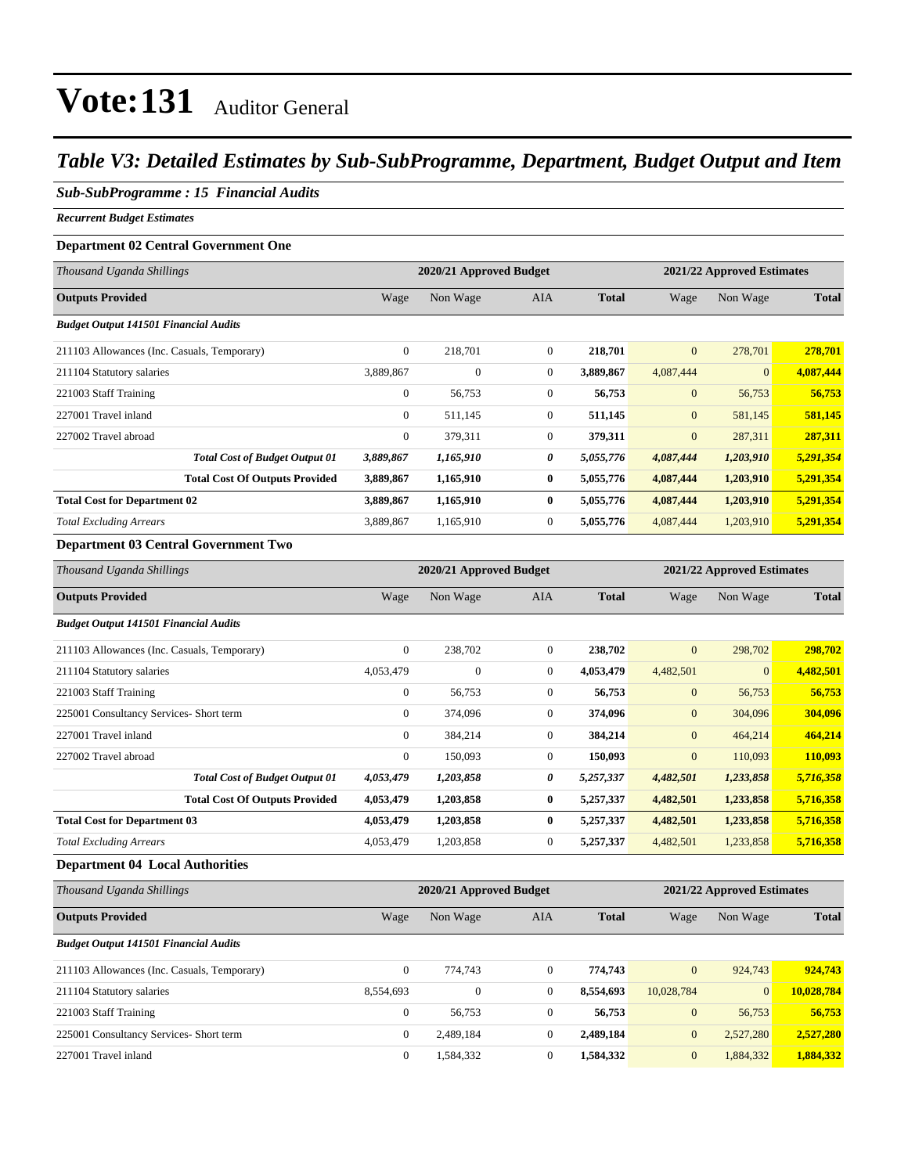### *Table V3: Detailed Estimates by Sub-SubProgramme, Department, Budget Output and Item*

#### *Sub-SubProgramme : 15 Financial Audits*

*Recurrent Budget Estimates*

#### **Department 02 Central Government One**

| Thousand Uganda Shillings                    |                  | 2020/21 Approved Budget |                | 2021/22 Approved Estimates |                |                 |              |
|----------------------------------------------|------------------|-------------------------|----------------|----------------------------|----------------|-----------------|--------------|
| <b>Outputs Provided</b>                      | Wage             | Non Wage                | AIA            | <b>Total</b>               | Wage           | Non Wage        | <b>Total</b> |
| <b>Budget Output 141501 Financial Audits</b> |                  |                         |                |                            |                |                 |              |
| 211103 Allowances (Inc. Casuals, Temporary)  | $\mathbf{0}$     | 218,701                 | $\overline{0}$ | 218,701                    | $\overline{0}$ | 278,701         | 278,701      |
| 211104 Statutory salaries                    | 3,889,867        | $\mathbf{0}$            | $\overline{0}$ | 3,889,867                  | 4,087,444      | $\vert 0 \vert$ | 4,087,444    |
| 221003 Staff Training                        | $\boldsymbol{0}$ | 56,753                  | $\overline{0}$ | 56,753                     | $\mathbf{0}$   | 56,753          | 56,753       |
| 227001 Travel inland                         | $\mathbf{0}$     | 511,145                 | $\overline{0}$ | 511,145                    | $\mathbf{0}$   | 581,145         | 581,145      |
| 227002 Travel abroad                         | $\mathbf{0}$     | 379,311                 | $\overline{0}$ | 379,311                    | $\mathbf{0}$   | 287,311         | 287,311      |
| <b>Total Cost of Budget Output 01</b>        | 3,889,867        | 1,165,910               | 0              | 5,055,776                  | 4,087,444      | 1,203,910       | 5,291,354    |
| <b>Total Cost Of Outputs Provided</b>        | 3,889,867        | 1,165,910               | $\bf{0}$       | 5,055,776                  | 4,087,444      | 1,203,910       | 5,291,354    |
| <b>Total Cost for Department 02</b>          | 3,889,867        | 1,165,910               | $\bf{0}$       | 5,055,776                  | 4,087,444      | 1,203,910       | 5,291,354    |
| <b>Total Excluding Arrears</b>               | 3,889,867        | 1,165,910               | $\overline{0}$ | 5,055,776                  | 4,087,444      | 1,203,910       | 5,291,354    |
| Denomber and 02 Candral Communicate True     |                  |                         |                |                            |                |                 |              |

#### **Department 03 Central Government Two**

| Thousand Uganda Shillings                    |                  | 2020/21 Approved Budget |              |              | 2021/22 Approved Estimates |              |              |  |
|----------------------------------------------|------------------|-------------------------|--------------|--------------|----------------------------|--------------|--------------|--|
| <b>Outputs Provided</b>                      | Wage             | Non Wage                | AIA          | <b>Total</b> | Wage                       | Non Wage     | <b>Total</b> |  |
| <b>Budget Output 141501 Financial Audits</b> |                  |                         |              |              |                            |              |              |  |
| 211103 Allowances (Inc. Casuals, Temporary)  | $\boldsymbol{0}$ | 238,702                 | $\mathbf{0}$ | 238,702      | $\mathbf{0}$               | 298,702      | 298,702      |  |
| 211104 Statutory salaries                    | 4,053,479        | $\mathbf{0}$            | $\mathbf{0}$ | 4,053,479    | 4,482,501                  | $\mathbf{0}$ | 4,482,501    |  |
| 221003 Staff Training                        | $\theta$         | 56,753                  | $\mathbf{0}$ | 56,753       | $\mathbf{0}$               | 56,753       | 56,753       |  |
| 225001 Consultancy Services- Short term      | $\mathbf{0}$     | 374,096                 | $\mathbf{0}$ | 374,096      | $\mathbf{0}$               | 304,096      | 304,096      |  |
| 227001 Travel inland                         | $\theta$         | 384,214                 | $\mathbf{0}$ | 384,214      | $\mathbf{0}$               | 464,214      | 464,214      |  |
| 227002 Travel abroad                         | $\mathbf{0}$     | 150,093                 | $\mathbf{0}$ | 150,093      | $\mathbf{0}$               | 110,093      | 110,093      |  |
| <b>Total Cost of Budget Output 01</b>        | 4,053,479        | 1,203,858               | 0            | 5,257,337    | 4,482,501                  | 1,233,858    | 5,716,358    |  |
| <b>Total Cost Of Outputs Provided</b>        | 4,053,479        | 1,203,858               | $\bf{0}$     | 5,257,337    | 4,482,501                  | 1,233,858    | 5,716,358    |  |
| <b>Total Cost for Department 03</b>          | 4,053,479        | 1,203,858               | $\bf{0}$     | 5,257,337    | 4,482,501                  | 1,233,858    | 5,716,358    |  |
| <b>Total Excluding Arrears</b>               | 4,053,479        | 1,203,858               | 0            | 5,257,337    | 4,482,501                  | 1,233,858    | 5,716,358    |  |
| <b>Department 04 Local Authorities</b>       |                  |                         |              |              |                            |              |              |  |

| Thousand Uganda Shillings                    | 2020/21 Approved Budget |              |                |              |                | 2021/22 Approved Estimates |              |  |  |
|----------------------------------------------|-------------------------|--------------|----------------|--------------|----------------|----------------------------|--------------|--|--|
| <b>Outputs Provided</b>                      | Wage                    | Non Wage     | AIA            | <b>Total</b> | Wage           | Non Wage                   | <b>Total</b> |  |  |
| <b>Budget Output 141501 Financial Audits</b> |                         |              |                |              |                |                            |              |  |  |
| 211103 Allowances (Inc. Casuals, Temporary)  | $\overline{0}$          | 774,743      | $\overline{0}$ | 774,743      | $\overline{0}$ | 924,743                    | 924,743      |  |  |
| 211104 Statutory salaries                    | 8.554.693               | $\mathbf{0}$ | 0              | 8,554,693    | 10,028,784     | $\overline{0}$             | 10,028,784   |  |  |
| 221003 Staff Training                        | $\mathbf{0}$            | 56,753       | $\mathbf{0}$   | 56,753       | $\mathbf{0}$   | 56.753                     | 56,753       |  |  |
| 225001 Consultancy Services- Short term      | $\mathbf{0}$            | 2,489,184    | $\Omega$       | 2,489,184    | $\mathbf{0}$   | 2,527,280                  | 2,527,280    |  |  |
| 227001 Travel inland                         | $\Omega$                | 1,584,332    | $\mathbf{0}$   | 1,584,332    | $\overline{0}$ | 1,884,332                  | 1,884,332    |  |  |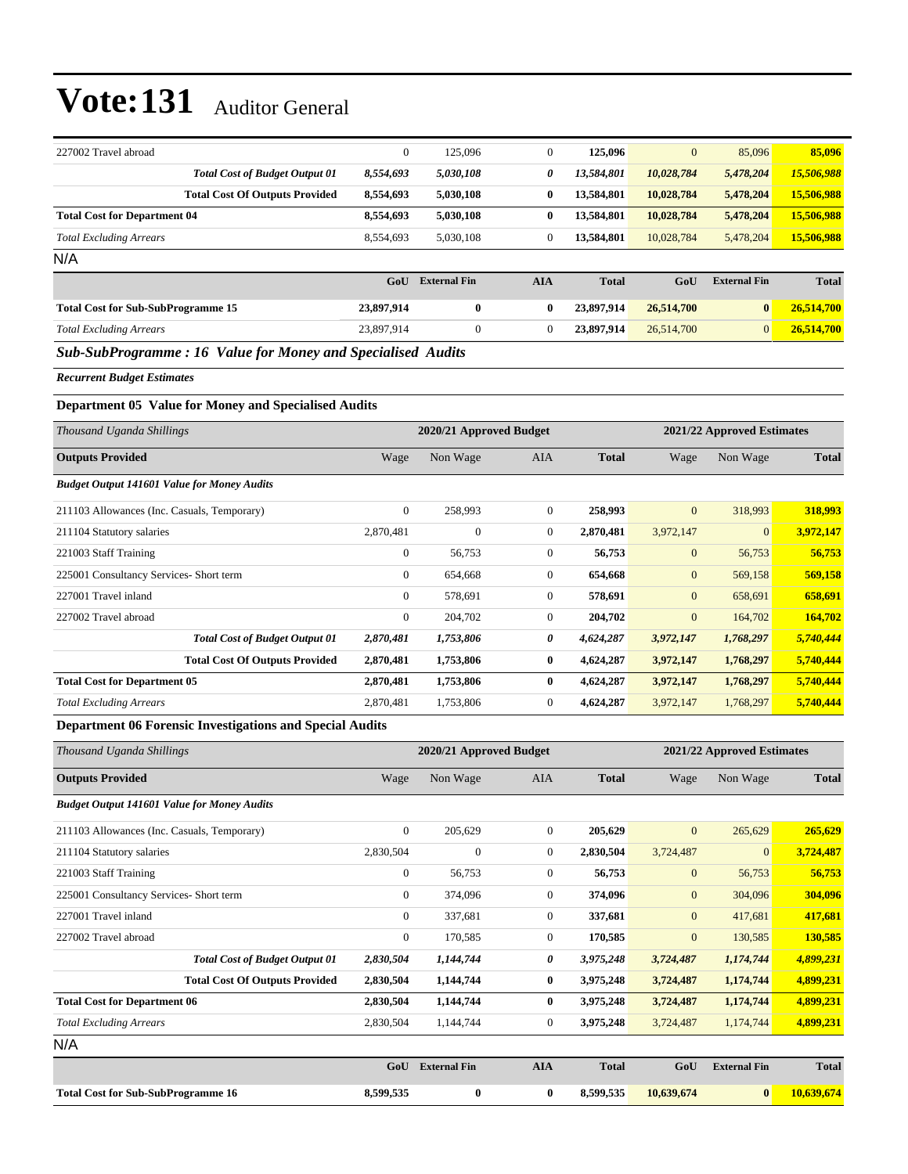| 227002 Travel abroad                      | $\overline{0}$ | 125,096             | $\theta$   | 125,096      | $\overline{0}$ | 85,096              | 85,096       |
|-------------------------------------------|----------------|---------------------|------------|--------------|----------------|---------------------|--------------|
| <b>Total Cost of Budget Output 01</b>     | 8,554,693      | 5,030,108           | 0          | 13,584,801   | 10,028,784     | 5,478,204           | 15,506,988   |
| <b>Total Cost Of Outputs Provided</b>     | 8.554.693      | 5,030,108           | $\bf{0}$   | 13.584.801   | 10,028,784     | 5,478,204           | 15,506,988   |
| <b>Total Cost for Department 04</b>       | 8,554,693      | 5,030,108           | $\bf{0}$   | 13,584,801   | 10,028,784     | 5,478,204           | 15,506,988   |
| <b>Total Excluding Arrears</b>            | 8,554,693      | 5,030,108           | $\theta$   | 13,584,801   | 10,028,784     | 5,478,204           | 15,506,988   |
| N/A                                       |                |                     |            |              |                |                     |              |
|                                           | GoU            | <b>External Fin</b> | <b>AIA</b> | <b>Total</b> | GoU            | <b>External Fin</b> | <b>Total</b> |
| <b>Total Cost for Sub-SubProgramme 15</b> | 23,897,914     | $\bf{0}$            | $\bf{0}$   | 23,897,914   | 26,514,700     | $\bf{0}$            | 26.514.700   |
| <b>Total Excluding Arrears</b>            | 23.897.914     | $\overline{0}$      | $\theta$   | 23,897,914   | 26,514,700     | $\overline{0}$      | 26.514.700   |
|                                           |                |                     |            |              |                |                     |              |

#### *Sub-SubProgramme : 16 Value for Money and Specialised Audits*

*Recurrent Budget Estimates*

#### **Department 05 Value for Money and Specialised Audits**

| Thousand Uganda Shillings                                            |              | 2020/21 Approved Budget |                |              | 2021/22 Approved Estimates |                |              |  |
|----------------------------------------------------------------------|--------------|-------------------------|----------------|--------------|----------------------------|----------------|--------------|--|
| <b>Outputs Provided</b>                                              | Wage         | Non Wage                | <b>AIA</b>     | <b>Total</b> | Wage                       | Non Wage       | <b>Total</b> |  |
| <b>Budget Output 141601 Value for Money Audits</b>                   |              |                         |                |              |                            |                |              |  |
| 211103 Allowances (Inc. Casuals, Temporary)                          | $\mathbf{0}$ | 258,993                 | $\overline{0}$ | 258,993      | $\mathbf{0}$               | 318,993        | 318,993      |  |
| 211104 Statutory salaries                                            | 2,870,481    | $\mathbf{0}$            | $\overline{0}$ | 2,870,481    | 3,972,147                  | $\overline{0}$ | 3,972,147    |  |
| 221003 Staff Training                                                | $\mathbf{0}$ | 56,753                  | $\overline{0}$ | 56,753       | $\mathbf{0}$               | 56,753         | 56,753       |  |
| 225001 Consultancy Services- Short term                              | $\mathbf{0}$ | 654,668                 | $\overline{0}$ | 654,668      | $\mathbf{0}$               | 569,158        | 569,158      |  |
| 227001 Travel inland                                                 | $\mathbf{0}$ | 578,691                 | $\overline{0}$ | 578,691      | $\mathbf{0}$               | 658,691        | 658,691      |  |
| 227002 Travel abroad                                                 | $\mathbf{0}$ | 204,702                 | $\overline{0}$ | 204,702      | $\mathbf{0}$               | 164,702        | 164,702      |  |
| <b>Total Cost of Budget Output 01</b>                                | 2,870,481    | 1,753,806               | 0              | 4,624,287    | 3,972,147                  | 1,768,297      | 5,740,444    |  |
| <b>Total Cost Of Outputs Provided</b>                                | 2,870,481    | 1,753,806               | $\bf{0}$       | 4,624,287    | 3,972,147                  | 1,768,297      | 5,740,444    |  |
| <b>Total Cost for Department 05</b>                                  | 2,870,481    | 1,753,806               | $\bf{0}$       | 4,624,287    | 3,972,147                  | 1,768,297      | 5,740,444    |  |
| <b>Total Excluding Arrears</b>                                       | 2,870,481    | 1,753,806               | $\overline{0}$ | 4,624,287    | 3,972,147                  | 1,768,297      | 5,740,444    |  |
| $\mathbf{r}$ $\alpha$<br>$\cdot$ $\cdot$<br>$\mathbf{z}$<br>$\cdots$ |              |                         |                |              |                            |                |              |  |

**Department 06 Forensic Investigations and Special Audits**

| Thousand Uganda Shillings                          |              | 2020/21 Approved Budget |                |              |              | 2021/22 Approved Estimates |              |  |  |
|----------------------------------------------------|--------------|-------------------------|----------------|--------------|--------------|----------------------------|--------------|--|--|
| <b>Outputs Provided</b>                            | Wage         | Non Wage                | <b>AIA</b>     | <b>Total</b> | Wage         | Non Wage                   | <b>Total</b> |  |  |
| <b>Budget Output 141601 Value for Money Audits</b> |              |                         |                |              |              |                            |              |  |  |
| 211103 Allowances (Inc. Casuals, Temporary)        | $\mathbf{0}$ | 205,629                 | $\overline{0}$ | 205,629      | $\mathbf{0}$ | 265,629                    | 265,629      |  |  |
| 211104 Statutory salaries                          | 2,830,504    | $\mathbf{0}$            | $\overline{0}$ | 2,830,504    | 3,724,487    | $\vert 0 \vert$            | 3,724,487    |  |  |
| 221003 Staff Training                              | $\bf{0}$     | 56,753                  | $\mathbf{0}$   | 56,753       | $\mathbf{0}$ | 56,753                     | 56,753       |  |  |
| 225001 Consultancy Services- Short term            | $\bf{0}$     | 374,096                 | $\mathbf{0}$   | 374,096      | $\mathbf{0}$ | 304,096                    | 304,096      |  |  |
| 227001 Travel inland                               | $\mathbf{0}$ | 337,681                 | $\overline{0}$ | 337,681      | $\mathbf{0}$ | 417,681                    | 417,681      |  |  |
| 227002 Travel abroad                               | $\mathbf{0}$ | 170,585                 | $\overline{0}$ | 170,585      | $\mathbf{0}$ | 130,585                    | 130,585      |  |  |
| <b>Total Cost of Budget Output 01</b>              | 2,830,504    | 1,144,744               | 0              | 3,975,248    | 3,724,487    | 1,174,744                  | 4,899,231    |  |  |
| <b>Total Cost Of Outputs Provided</b>              | 2,830,504    | 1,144,744               | $\bf{0}$       | 3,975,248    | 3,724,487    | 1,174,744                  | 4,899,231    |  |  |
| <b>Total Cost for Department 06</b>                | 2,830,504    | 1,144,744               | $\bf{0}$       | 3,975,248    | 3,724,487    | 1,174,744                  | 4,899,231    |  |  |
| <b>Total Excluding Arrears</b>                     | 2,830,504    | 1,144,744               | $\mathbf{0}$   | 3,975,248    | 3,724,487    | 1,174,744                  | 4,899,231    |  |  |
| N/A                                                |              |                         |                |              |              |                            |              |  |  |
|                                                    | GoU          | <b>External Fin</b>     | <b>AIA</b>     | <b>Total</b> | GoU          | <b>External Fin</b>        | <b>Total</b> |  |  |
| <b>Total Cost for Sub-SubProgramme 16</b>          | 8,599,535    | $\bf{0}$                | 0              | 8,599,535    | 10,639,674   | $\bf{0}$                   | 10,639,674   |  |  |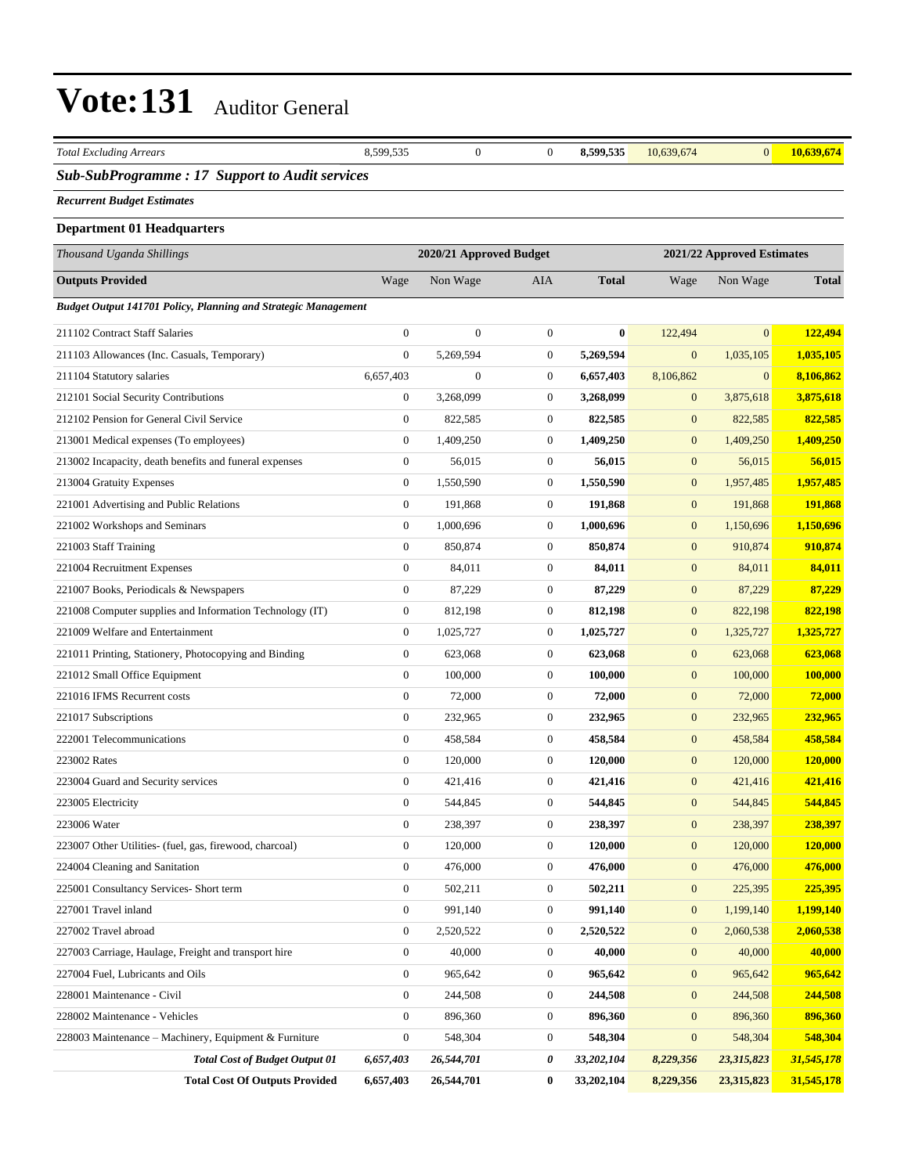| <b>Total Excluding Arrears</b>                                        | 8,599,535                            | $\mathbf{0}$            | $\boldsymbol{0}$ | 8,599,535    | 10,639,674       | $\mathbf{0}$               | 10,639,674          |
|-----------------------------------------------------------------------|--------------------------------------|-------------------------|------------------|--------------|------------------|----------------------------|---------------------|
| <b>Sub-SubProgramme: 17 Support to Audit services</b>                 |                                      |                         |                  |              |                  |                            |                     |
| <b>Recurrent Budget Estimates</b>                                     |                                      |                         |                  |              |                  |                            |                     |
| <b>Department 01 Headquarters</b>                                     |                                      |                         |                  |              |                  |                            |                     |
| Thousand Uganda Shillings                                             |                                      | 2020/21 Approved Budget |                  |              |                  | 2021/22 Approved Estimates |                     |
| <b>Outputs Provided</b>                                               | Wage                                 | Non Wage                | AIA              | <b>Total</b> | Wage             | Non Wage                   | <b>Total</b>        |
| <b>Budget Output 141701 Policy, Planning and Strategic Management</b> |                                      |                         |                  |              |                  |                            |                     |
| 211102 Contract Staff Salaries                                        | $\boldsymbol{0}$                     | $\mathbf{0}$            | $\boldsymbol{0}$ | $\bf{0}$     | 122,494          | $\overline{0}$             | 122,494             |
| 211103 Allowances (Inc. Casuals, Temporary)                           | $\overline{0}$                       | 5,269,594               | $\boldsymbol{0}$ | 5,269,594    | $\overline{0}$   | 1,035,105                  | 1,035,105           |
| 211104 Statutory salaries                                             | 6,657,403                            | $\overline{0}$          | $\boldsymbol{0}$ | 6,657,403    | 8,106,862        | $\mathbf{0}$               | 8,106,862           |
| 212101 Social Security Contributions                                  | $\boldsymbol{0}$                     | 3,268,099               | $\mathbf{0}$     | 3,268,099    | $\mathbf{0}$     | 3,875,618                  | 3,875,618           |
| 212102 Pension for General Civil Service                              | $\boldsymbol{0}$                     | 822,585                 | $\boldsymbol{0}$ | 822,585      | $\boldsymbol{0}$ | 822,585                    | 822,585             |
| 213001 Medical expenses (To employees)                                | $\mathbf{0}$                         | 1,409,250               | $\boldsymbol{0}$ | 1,409,250    | $\mathbf{0}$     | 1,409,250                  | 1,409,250           |
| 213002 Incapacity, death benefits and funeral expenses                | $\mathbf{0}$                         | 56,015                  | $\boldsymbol{0}$ | 56,015       | $\mathbf{0}$     | 56,015                     | 56,015              |
| 213004 Gratuity Expenses                                              | $\boldsymbol{0}$                     | 1,550,590               | $\boldsymbol{0}$ | 1,550,590    | $\overline{0}$   | 1,957,485                  | 1,957,485           |
| 221001 Advertising and Public Relations                               | $\boldsymbol{0}$                     | 191,868                 | $\boldsymbol{0}$ | 191,868      | $\mathbf{0}$     | 191,868                    | 191,868             |
| 221002 Workshops and Seminars                                         | $\boldsymbol{0}$                     | 1,000,696               | $\boldsymbol{0}$ | 1,000,696    | $\boldsymbol{0}$ | 1,150,696                  | 1,150,696           |
| 221003 Staff Training                                                 | $\mathbf{0}$                         | 850,874                 | $\boldsymbol{0}$ | 850,874      | $\mathbf{0}$     | 910,874                    | 910,874             |
| 221004 Recruitment Expenses                                           | $\mathbf{0}$                         | 84,011                  | $\boldsymbol{0}$ | 84,011       | $\mathbf{0}$     | 84,011                     | 84,011              |
| 221007 Books, Periodicals & Newspapers                                | $\boldsymbol{0}$                     | 87,229                  | $\boldsymbol{0}$ | 87,229       | $\mathbf{0}$     | 87,229                     | 87,229              |
| 221008 Computer supplies and Information Technology (IT)              | $\boldsymbol{0}$                     | 812,198                 | $\boldsymbol{0}$ | 812,198      | $\mathbf{0}$     | 822,198                    | 822,198             |
| 221009 Welfare and Entertainment                                      | $\boldsymbol{0}$                     | 1,025,727               | $\boldsymbol{0}$ | 1,025,727    | $\boldsymbol{0}$ | 1,325,727                  | 1,325,727           |
| 221011 Printing, Stationery, Photocopying and Binding                 | $\mathbf{0}$                         | 623,068                 | $\boldsymbol{0}$ | 623,068      | $\mathbf{0}$     | 623,068                    | 623,068             |
| 221012 Small Office Equipment                                         | $\mathbf{0}$                         | 100,000                 | $\boldsymbol{0}$ | 100,000      | $\mathbf{0}$     | 100,000                    | 100,000             |
| 221016 IFMS Recurrent costs                                           | $\boldsymbol{0}$                     | 72,000                  | $\boldsymbol{0}$ | 72,000       | $\mathbf{0}$     | 72,000                     | 72,000              |
| 221017 Subscriptions                                                  | $\boldsymbol{0}$                     | 232,965                 | $\boldsymbol{0}$ | 232,965      | $\mathbf{0}$     | 232,965                    | 232,965             |
| 222001 Telecommunications                                             | $\boldsymbol{0}$                     | 458,584                 | $\boldsymbol{0}$ | 458,584      | $\mathbf{0}$     | 458,584                    | 458,584             |
| 223002 Rates                                                          | $\boldsymbol{0}$                     | 120,000                 | $\boldsymbol{0}$ | 120,000      | $\mathbf{0}$     | 120,000                    | 120,000             |
| 223004 Guard and Security services                                    | $\boldsymbol{0}$                     | 421,416                 | $\boldsymbol{0}$ | 421,416      | $\overline{0}$   | 421,416                    | 421,416             |
|                                                                       | $\boldsymbol{0}$                     |                         | $\boldsymbol{0}$ | 544,845      | $\boldsymbol{0}$ | 544,845                    | 544,845             |
| 223005 Electricity<br>223006 Water                                    | $\boldsymbol{0}$                     | 544,845<br>238,397      | $\boldsymbol{0}$ | 238,397      | $\mathbf{0}$     | 238,397                    | 238,397             |
| 223007 Other Utilities- (fuel, gas, firewood, charcoal)               | $\mathbf{0}$                         | 120,000                 | $\boldsymbol{0}$ | 120,000      | $\boldsymbol{0}$ | 120,000                    | 120,000             |
| 224004 Cleaning and Sanitation                                        | $\boldsymbol{0}$                     | 476,000                 | $\boldsymbol{0}$ | 476,000      | $\mathbf{0}$     | 476,000                    | 476,000             |
|                                                                       | $\boldsymbol{0}$                     | 502,211                 | $\boldsymbol{0}$ |              | $\mathbf{0}$     |                            | 225,395             |
| 225001 Consultancy Services- Short term                               |                                      | 991,140                 |                  | 502,211      |                  | 225,395                    |                     |
| 227001 Travel inland                                                  | $\boldsymbol{0}$<br>$\boldsymbol{0}$ |                         | $\boldsymbol{0}$ | 991,140      | $\boldsymbol{0}$ | 1,199,140<br>2,060,538     | 1,199,140           |
| 227002 Travel abroad                                                  | $\boldsymbol{0}$                     | 2,520,522               | $\boldsymbol{0}$ | 2,520,522    | $\mathbf{0}$     |                            | 2,060,538<br>40,000 |
| 227003 Carriage, Haulage, Freight and transport hire                  |                                      | 40,000                  | $\boldsymbol{0}$ | 40,000       | $\mathbf{0}$     | 40,000                     |                     |
| 227004 Fuel, Lubricants and Oils                                      | $\mathbf{0}$                         | 965,642                 | $\boldsymbol{0}$ | 965,642      | $\mathbf{0}$     | 965,642                    | 965,642             |
| 228001 Maintenance - Civil                                            | $\boldsymbol{0}$                     | 244,508                 | $\boldsymbol{0}$ | 244,508      | $\mathbf{0}$     | 244,508                    | 244,508             |
| 228002 Maintenance - Vehicles                                         | $\boldsymbol{0}$                     | 896,360                 | $\boldsymbol{0}$ | 896,360      | $\boldsymbol{0}$ | 896,360                    | 896,360             |
| 228003 Maintenance – Machinery, Equipment & Furniture                 | $\boldsymbol{0}$                     | 548,304                 | $\boldsymbol{0}$ | 548,304      | $\mathbf{0}$     | 548,304                    | 548,304             |
| <b>Total Cost of Budget Output 01</b>                                 | 6,657,403                            | 26,544,701              | 0                | 33,202,104   | 8,229,356        | 23,315,823                 | 31,545,178          |

**Total Cost Of Outputs Provided 6,657,403 26,544,701 0 33,202,104 8,229,356 23,315,823 31,545,178**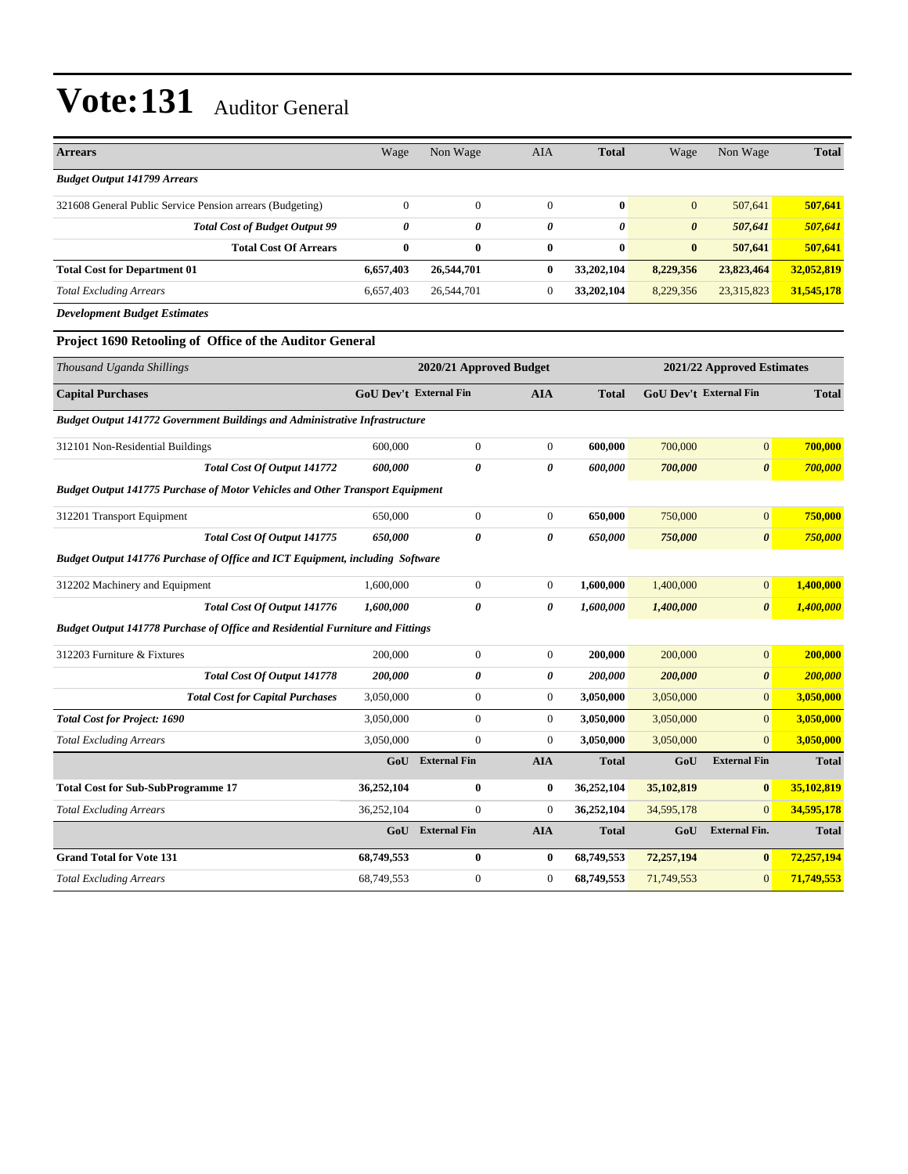*Budget Output 141775 Purchase of Motor Vehicles and Other Transport Equipment*

| <b>Arrears</b>                                                                     | Wage                          | Non Wage                | AIA            | <b>Total</b> | Wage                          | Non Wage                   | Total        |
|------------------------------------------------------------------------------------|-------------------------------|-------------------------|----------------|--------------|-------------------------------|----------------------------|--------------|
| <b>Budget Output 141799 Arrears</b>                                                |                               |                         |                |              |                               |                            |              |
| 321608 General Public Service Pension arrears (Budgeting)                          | 0                             | $\Omega$                | $\overline{0}$ | $\bf{0}$     | $\overline{0}$                | 507,641                    | 507,641      |
| <b>Total Cost of Budget Output 99</b>                                              | 0                             | 0                       | $\theta$       | 0            | $\boldsymbol{\theta}$         | 507,641                    | 507,641      |
| <b>Total Cost Of Arrears</b>                                                       | $\bf{0}$                      | $\bf{0}$                | $\bf{0}$       | $\bf{0}$     | $\mathbf{0}$                  | 507,641                    | 507,641      |
| <b>Total Cost for Department 01</b>                                                | 6,657,403                     | 26,544,701              | $\bf{0}$       | 33,202,104   | 8,229,356                     | 23,823,464                 | 32,052,819   |
| <b>Total Excluding Arrears</b>                                                     | 6,657,403                     | 26,544,701              | $\mathbf{0}$   | 33,202,104   | 8,229,356                     | 23,315,823                 | 31,545,178   |
| <b>Development Budget Estimates</b>                                                |                               |                         |                |              |                               |                            |              |
| Project 1690 Retooling of Office of the Auditor General                            |                               |                         |                |              |                               |                            |              |
| Thousand Uganda Shillings                                                          |                               | 2020/21 Approved Budget |                |              |                               | 2021/22 Approved Estimates |              |
| <b>Capital Purchases</b>                                                           | <b>GoU Dev't External Fin</b> |                         | <b>AIA</b>     | <b>Total</b> | <b>GoU Dev't External Fin</b> |                            | <b>Total</b> |
| <b>Budget Output 141772 Government Buildings and Administrative Infrastructure</b> |                               |                         |                |              |                               |                            |              |
| 312101 Non-Residential Buildings                                                   | 600,000                       | $\mathbf{0}$            | $\mathbf{0}$   | 600,000      | 700,000                       | $\overline{0}$             | 700,000      |

*Total Cost Of Output 141772 600,000 0 0 600,000 700,000 0 700,000*

| 312201 Transport Equipment                                                            | 650,000    | $\mathbf{0}$          | $\mathbf{0}$   | 650,000      | 750,000    | $\overline{0}$        | 750,000      |
|---------------------------------------------------------------------------------------|------------|-----------------------|----------------|--------------|------------|-----------------------|--------------|
| Total Cost Of Output 141775                                                           | 650,000    | $\boldsymbol{\theta}$ | 0              | 650,000      | 750,000    | $\boldsymbol{\theta}$ | 750,000      |
| Budget Output 141776 Purchase of Office and ICT Equipment, including Software         |            |                       |                |              |            |                       |              |
| 312202 Machinery and Equipment                                                        | 1,600,000  | $\mathbf{0}$          | $\theta$       | 1,600,000    | 1,400,000  | $\overline{0}$        | 1,400,000    |
| <b>Total Cost Of Output 141776</b>                                                    | 1,600,000  | 0                     | 0              | 1,600,000    | 1,400,000  | $\boldsymbol{\theta}$ | 1,400,000    |
| <b>Budget Output 141778 Purchase of Office and Residential Furniture and Fittings</b> |            |                       |                |              |            |                       |              |
| 312203 Furniture & Fixtures                                                           | 200,000    | $\boldsymbol{0}$      | $\overline{0}$ | 200,000      | 200,000    | $\mathbf{0}$          | 200,000      |
| <b>Total Cost Of Output 141778</b>                                                    | 200,000    | 0                     | 0              | 200,000      | 200,000    | $\boldsymbol{\theta}$ | 200,000      |
| <b>Total Cost for Capital Purchases</b>                                               | 3,050,000  | $\boldsymbol{0}$      | $\overline{0}$ | 3,050,000    | 3,050,000  | $\overline{0}$        | 3,050,000    |
| <b>Total Cost for Project: 1690</b>                                                   | 3,050,000  | $\boldsymbol{0}$      | $\overline{0}$ | 3,050,000    | 3,050,000  | $\overline{0}$        | 3,050,000    |
| <b>Total Excluding Arrears</b>                                                        | 3.050.000  | $\mathbf{0}$          | $\theta$       | 3.050.000    | 3,050,000  | $\overline{0}$        | 3,050,000    |
|                                                                                       | GoU        | <b>External Fin</b>   | <b>AIA</b>     | <b>Total</b> | GoU        | <b>External Fin</b>   | <b>Total</b> |
| <b>Total Cost for Sub-SubProgramme 17</b>                                             | 36,252,104 | $\bf{0}$              | $\bf{0}$       | 36,252,104   | 35,102,819 | $\bf{0}$              | 35,102,819   |
| <b>Total Excluding Arrears</b>                                                        | 36,252,104 | $\boldsymbol{0}$      | $\overline{0}$ | 36,252,104   | 34,595,178 | $\mathbf{0}$          | 34,595,178   |
|                                                                                       | GoU        | <b>External Fin</b>   | <b>AIA</b>     | <b>Total</b> | GoU        | <b>External Fin.</b>  | <b>Total</b> |
| <b>Grand Total for Vote 131</b>                                                       | 68,749,553 | $\bf{0}$              | $\bf{0}$       | 68,749,553   | 72,257,194 | $\bf{0}$              | 72,257,194   |
| <b>Total Excluding Arrears</b>                                                        | 68,749,553 | $\boldsymbol{0}$      | $\mathbf{0}$   | 68,749,553   | 71,749,553 | $\mathbf{0}$          | 71,749,553   |
|                                                                                       |            |                       |                |              |            |                       |              |